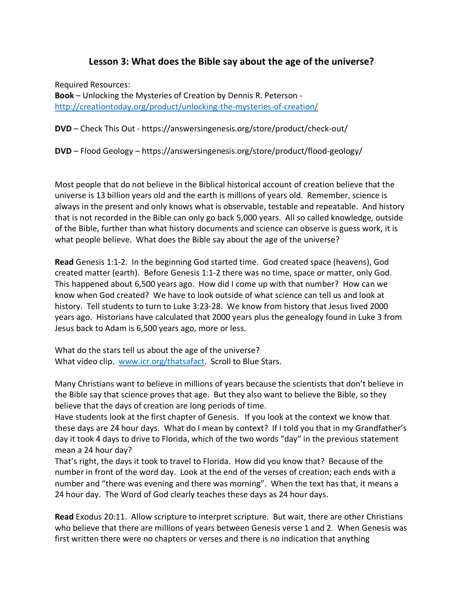## **Lesson 3: What does the Bible say about the age of the universe?**

Required Resources:

**Book** – Unlocking the Mysteries of Creation by Dennis R. Peterson http://creationtoday.org/product/unlocking-the-mysteries-of-creation/

**DVD** – Check This Out - https://answersingenesis.org/store/product/check-out/

**DVD** – Flood Geology – https://answersingenesis.org/store/product/flood-geology/

Most people that do not believe in the Biblical historical account of creation believe that the universe is 13 billion years old and the earth is millions of years old. Remember, science is always in the present and only knows what is observable, testable and repeatable. And history that is not recorded in the Bible can only go back 5,000 years. All so called knowledge, outside of the Bible, further than what history documents and science can observe is guess work, it is what people believe. What does the Bible say about the age of the universe?

**Read** Genesis 1:1-2. In the beginning God started time. God created space (heavens), God created matter (earth). Before Genesis 1:1-2 there was no time, space or matter, only God. This happened about 6,500 years ago. How did I come up with that number? How can we know when God created? We have to look outside of what science can tell us and look at history. Tell students to turn to Luke 3:23-28. We know from history that Jesus lived 2000 years ago. Historians have calculated that 2000 years plus the genealogy found in Luke 3 from Jesus back to Adam is 6,500 years ago, more or less.

What do the stars tell us about the age of the universe? What video clip. www.icr.org/thatsafact. Scroll to Blue Stars.

Many Christians want to believe in millions of years because the scientists that don't believe in the Bible say that science proves that age. But they also want to believe the Bible, so they believe that the days of creation are long periods of time.

Have students look at the first chapter of Genesis. If you look at the context we know that these days are 24 hour days. What do I mean by context? If I told you that in my Grandfather's day it took 4 days to drive to Florida, which of the two words "day" in the previous statement mean a 24 hour day?

That's right, the days it took to travel to Florida. How did you know that? Because of the number in front of the word day. Look at the end of the verses of creation; each ends with a number and "there was evening and there was morning". When the text has that, it means a 24 hour day. The Word of God clearly teaches these days as 24 hour days.

**Read** Exodus 20:11. Allow scripture to interpret scripture. But wait, there are other Christians who believe that there are millions of years between Genesis verse 1 and 2. When Genesis was first written there were no chapters or verses and there is no indication that anything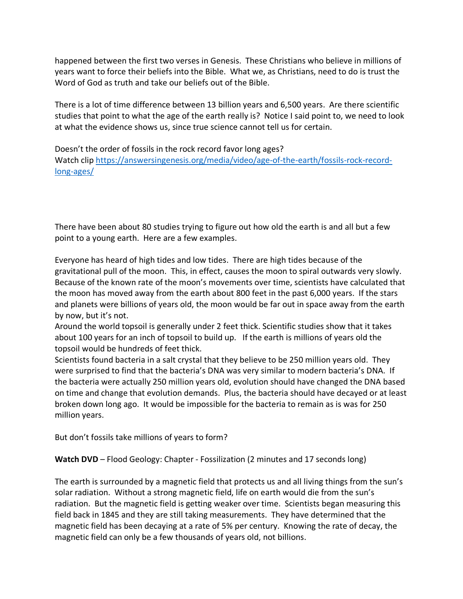happened between the first two verses in Genesis. These Christians who believe in millions of years want to force their beliefs into the Bible. What we, as Christians, need to do is trust the Word of God as truth and take our beliefs out of the Bible.

There is a lot of time difference between 13 billion years and 6,500 years. Are there scientific studies that point to what the age of the earth really is? Notice I said point to, we need to look at what the evidence shows us, since true science cannot tell us for certain.

Doesn't the order of fossils in the rock record favor long ages? Watch clip https://answersingenesis.org/media/video/age-of-the-earth/fossils-rock-recordlong-ages/

There have been about 80 studies trying to figure out how old the earth is and all but a few point to a young earth. Here are a few examples.

Everyone has heard of high tides and low tides. There are high tides because of the gravitational pull of the moon. This, in effect, causes the moon to spiral outwards very slowly. Because of the known rate of the moon's movements over time, scientists have calculated that the moon has moved away from the earth about 800 feet in the past 6,000 years. If the stars and planets were billions of years old, the moon would be far out in space away from the earth by now, but it's not.

Around the world topsoil is generally under 2 feet thick. Scientific studies show that it takes about 100 years for an inch of topsoil to build up. If the earth is millions of years old the topsoil would be hundreds of feet thick.

Scientists found bacteria in a salt crystal that they believe to be 250 million years old. They were surprised to find that the bacteria's DNA was very similar to modern bacteria's DNA. If the bacteria were actually 250 million years old, evolution should have changed the DNA based on time and change that evolution demands. Plus, the bacteria should have decayed or at least broken down long ago. It would be impossible for the bacteria to remain as is was for 250 million years.

But don't fossils take millions of years to form?

**Watch DVD** – Flood Geology: Chapter - Fossilization (2 minutes and 17 seconds long)

The earth is surrounded by a magnetic field that protects us and all living things from the sun's solar radiation. Without a strong magnetic field, life on earth would die from the sun's radiation. But the magnetic field is getting weaker over time. Scientists began measuring this field back in 1845 and they are still taking measurements. They have determined that the magnetic field has been decaying at a rate of 5% per century. Knowing the rate of decay, the magnetic field can only be a few thousands of years old, not billions.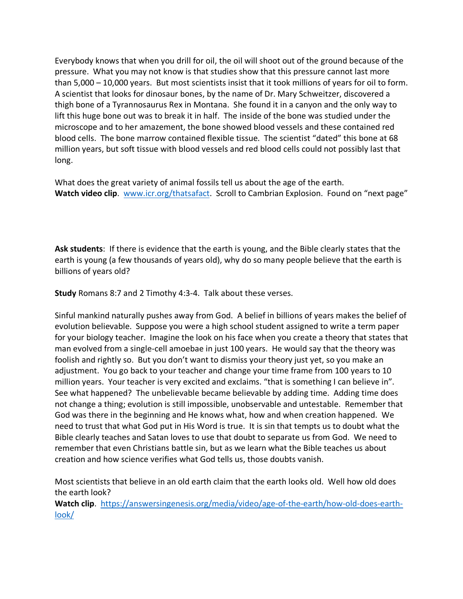Everybody knows that when you drill for oil, the oil will shoot out of the ground because of the pressure. What you may not know is that studies show that this pressure cannot last more than 5,000 – 10,000 years. But most scientists insist that it took millions of years for oil to form. A scientist that looks for dinosaur bones, by the name of Dr. Mary Schweitzer, discovered a thigh bone of a Tyrannosaurus Rex in Montana. She found it in a canyon and the only way to lift this huge bone out was to break it in half. The inside of the bone was studied under the microscope and to her amazement, the bone showed blood vessels and these contained red blood cells. The bone marrow contained flexible tissue. The scientist "dated" this bone at 68 million years, but soft tissue with blood vessels and red blood cells could not possibly last that long.

What does the great variety of animal fossils tell us about the age of the earth. **Watch video clip**. www.icr.org/thatsafact. Scroll to Cambrian Explosion. Found on "next page"

**Ask students**: If there is evidence that the earth is young, and the Bible clearly states that the earth is young (a few thousands of years old), why do so many people believe that the earth is billions of years old?

**Study** Romans 8:7 and 2 Timothy 4:3-4. Talk about these verses.

Sinful mankind naturally pushes away from God. A belief in billions of years makes the belief of evolution believable. Suppose you were a high school student assigned to write a term paper for your biology teacher. Imagine the look on his face when you create a theory that states that man evolved from a single-cell amoebae in just 100 years. He would say that the theory was foolish and rightly so. But you don't want to dismiss your theory just yet, so you make an adjustment. You go back to your teacher and change your time frame from 100 years to 10 million years. Your teacher is very excited and exclaims. "that is something I can believe in". See what happened? The unbelievable became believable by adding time. Adding time does not change a thing; evolution is still impossible, unobservable and untestable. Remember that God was there in the beginning and He knows what, how and when creation happened. We need to trust that what God put in His Word is true. It is sin that tempts us to doubt what the Bible clearly teaches and Satan loves to use that doubt to separate us from God. We need to remember that even Christians battle sin, but as we learn what the Bible teaches us about creation and how science verifies what God tells us, those doubts vanish.

Most scientists that believe in an old earth claim that the earth looks old. Well how old does the earth look?

**Watch clip**. https://answersingenesis.org/media/video/age-of-the-earth/how-old-does-earthlook/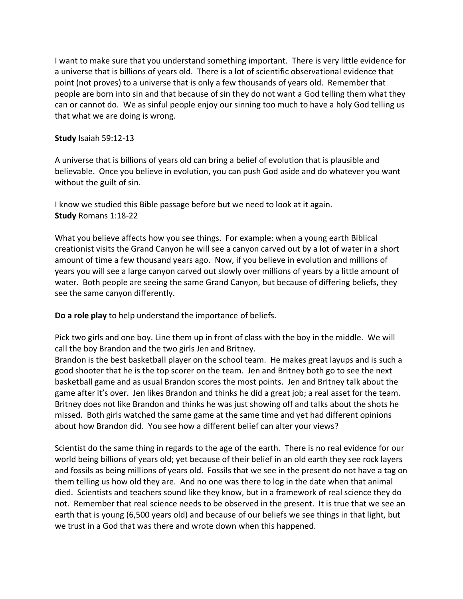I want to make sure that you understand something important. There is very little evidence for a universe that is billions of years old. There is a lot of scientific observational evidence that point (not proves) to a universe that is only a few thousands of years old. Remember that people are born into sin and that because of sin they do not want a God telling them what they can or cannot do. We as sinful people enjoy our sinning too much to have a holy God telling us that what we are doing is wrong.

## **Study** Isaiah 59:12-13

A universe that is billions of years old can bring a belief of evolution that is plausible and believable. Once you believe in evolution, you can push God aside and do whatever you want without the guilt of sin.

I know we studied this Bible passage before but we need to look at it again. **Study** Romans 1:18-22

What you believe affects how you see things. For example: when a young earth Biblical creationist visits the Grand Canyon he will see a canyon carved out by a lot of water in a short amount of time a few thousand years ago. Now, if you believe in evolution and millions of years you will see a large canyon carved out slowly over millions of years by a little amount of water. Both people are seeing the same Grand Canyon, but because of differing beliefs, they see the same canyon differently.

**Do a role play** to help understand the importance of beliefs.

Pick two girls and one boy. Line them up in front of class with the boy in the middle. We will call the boy Brandon and the two girls Jen and Britney.

Brandon is the best basketball player on the school team. He makes great layups and is such a good shooter that he is the top scorer on the team. Jen and Britney both go to see the next basketball game and as usual Brandon scores the most points. Jen and Britney talk about the game after it's over. Jen likes Brandon and thinks he did a great job; a real asset for the team. Britney does not like Brandon and thinks he was just showing off and talks about the shots he missed. Both girls watched the same game at the same time and yet had different opinions about how Brandon did. You see how a different belief can alter your views?

Scientist do the same thing in regards to the age of the earth. There is no real evidence for our world being billions of years old; yet because of their belief in an old earth they see rock layers and fossils as being millions of years old. Fossils that we see in the present do not have a tag on them telling us how old they are. And no one was there to log in the date when that animal died. Scientists and teachers sound like they know, but in a framework of real science they do not. Remember that real science needs to be observed in the present. It is true that we see an earth that is young (6,500 years old) and because of our beliefs we see things in that light, but we trust in a God that was there and wrote down when this happened.